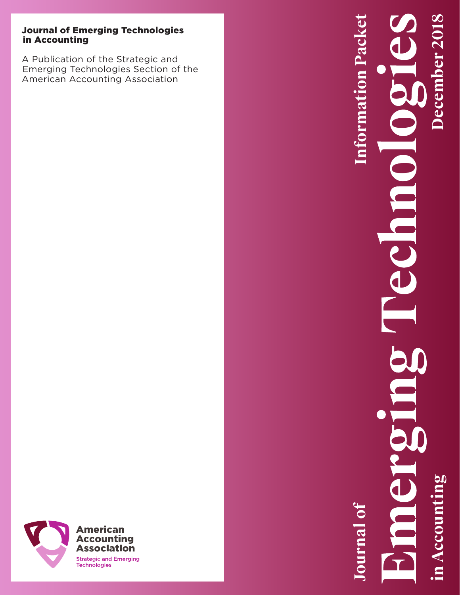# Journal of Emerging Technologies in Accounting

A Publication of the Strategic and Emerging Technologies Section of the American Accounting Association



# **Information Packet in Accounting December 2018Information Packet December 2018** C

**Journal of Journal of**

in Accounti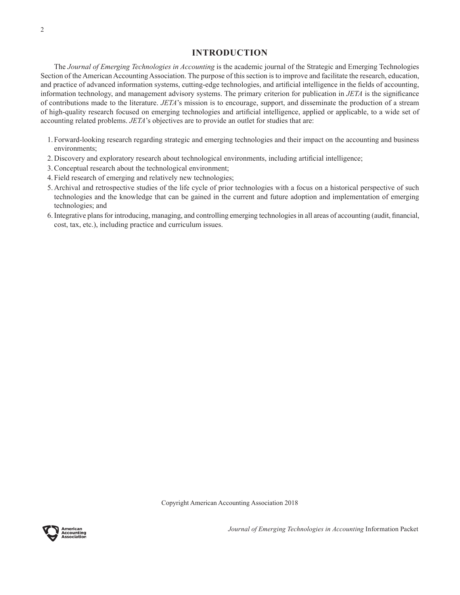## **INTRODUCTION**

The *Journal of Emerging Technologies in Accounting* is the academic journal of the Strategic and Emerging Technologies Section of the American Accounting Association. The purpose of this section is to improve and facilitate the research, education, and practice of advanced information systems, cutting-edge technologies, and artificial intelligence in the fields of accounting, information technology, and management advisory systems. The primary criterion for publication in *JETA* is the significance of contributions made to the literature. *JETA*'s mission is to encourage, support, and disseminate the production of a stream of high-quality research focused on emerging technologies and artificial intelligence, applied or applicable, to a wide set of accounting related problems. *JETA*'s objectives are to provide an outlet for studies that are:

- 1. Forward-looking research regarding strategic and emerging technologies and their impact on the accounting and business environments;
- 2. Discovery and exploratory research about technological environments, including artificial intelligence;
- 3.Conceptual research about the technological environment;
- 4. Field research of emerging and relatively new technologies;
- 5. Archival and retrospective studies of the life cycle of prior technologies with a focus on a historical perspective of such technologies and the knowledge that can be gained in the current and future adoption and implementation of emerging technologies; and
- 6.Integrative plans for introducing, managing, and controlling emerging technologies in all areas of accounting (audit, financial, cost, tax, etc.), including practice and curriculum issues.

Copyright American Accounting Association 2018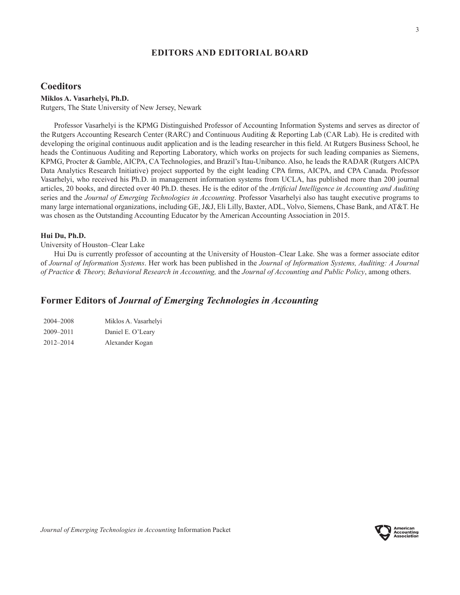## **EDITORS AND EDITORIAL BOARD**

## **Coeditors**

#### **Miklos A. Vasarhelyi, Ph.D.**

Rutgers, The State University of New Jersey, Newark

Professor Vasarhelyi is the KPMG Distinguished Professor of Accounting Information Systems and serves as director of the Rutgers Accounting Research Center (RARC) and Continuous Auditing & Reporting Lab (CAR Lab). He is credited with developing the original continuous audit application and is the leading researcher in this field. At Rutgers Business School, he heads the Continuous Auditing and Reporting Laboratory, which works on projects for such leading companies as Siemens, KPMG, Procter & Gamble, AICPA, CA Technologies, and Brazil's Itau-Unibanco. Also, he leads the RADAR (Rutgers AICPA Data Analytics Research Initiative) project supported by the eight leading CPA firms, AICPA, and CPA Canada. Professor Vasarhelyi, who received his Ph.D. in management information systems from UCLA, has published more than 200 journal articles, 20 books, and directed over 40 Ph.D. theses. He is the editor of the *Artificial Intelligence in Accounting and Auditing* series and the *Journal of Emerging Technologies in Accounting*. Professor Vasarhelyi also has taught executive programs to many large international organizations, including GE, J&J, Eli Lilly, Baxter, ADL, Volvo, Siemens, Chase Bank, and AT&T. He was chosen as the Outstanding Accounting Educator by the American Accounting Association in 2015.

## **Hui Du, Ph.D.**

University of Houston–Clear Lake

Hui Du is currently professor of accounting at the University of Houston–Clear Lake. She was a former associate editor of *Journal of Information Systems*. Her work has been published in the *Journal of Information Systems, Auditing: A Journal of Practice & Theory, Behavioral Research in Accounting,* and the *Journal of Accounting and Public Policy*, among others.

# **Former Editors of** *Journal of Emerging Technologies in Accounting*

| 2004-2008 | Miklos A. Vasarhelyi |
|-----------|----------------------|
| 2009-2011 | Daniel E. O'Leary    |
| 2012-2014 | Alexander Kogan      |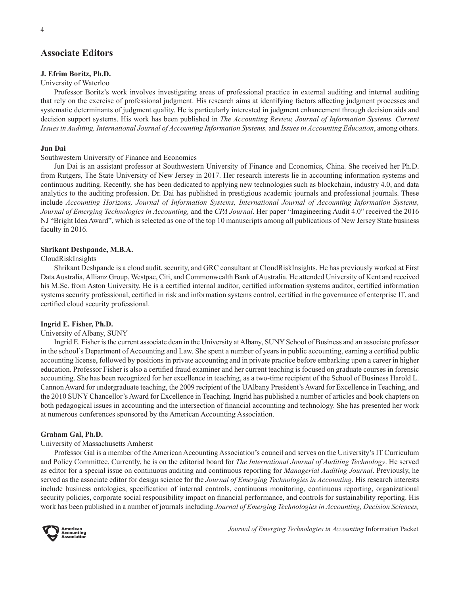# **Associate Editors**

## **J. Efrim Boritz, Ph.D.**

## University of Waterloo

Professor Boritz's work involves investigating areas of professional practice in external auditing and internal auditing that rely on the exercise of professional judgment. His research aims at identifying factors affecting judgment processes and systematic determinants of judgment quality. He is particularly interested in judgment enhancement through decision aids and decision support systems. His work has been published in *The Accounting Review, Journal of Information Systems, Current Issues in Auditing, International Journal of Accounting Information Systems,* and *Issues in Accounting Education*, among others.

#### **Jun Dai**

#### Southwestern University of Finance and Economics

Jun Dai is an assistant professor at Southwestern University of Finance and Economics, China. She received her Ph.D. from Rutgers, The State University of New Jersey in 2017. Her research interests lie in accounting information systems and continuous auditing. Recently, she has been dedicated to applying new technologies such as blockchain, industry 4.0, and data analytics to the auditing profession. Dr. Dai has published in prestigious academic journals and professional journals. These include *Accounting Horizons, Journal of Information Systems, International Journal of Accounting Information Systems, Journal of Emerging Technologies in Accounting,* and the *CPA Journal*. Her paper "Imagineering Audit 4.0" received the 2016 NJ "Bright Idea Award", which is selected as one of the top 10 manuscripts among all publications of New Jersey State business faculty in 2016.

#### **Shrikant Deshpande, M.B.A.**

#### CloudRiskInsights

Shrikant Deshpande is a cloud audit, security, and GRC consultant at CloudRiskInsights. He has previously worked at First Data Australia, Allianz Group, Westpac, Citi, and Commonwealth Bank of Australia. He attended University of Kent and received his M.Sc. from Aston University. He is a certified internal auditor, certified information systems auditor, certified information systems security professional, certified in risk and information systems control, certified in the governance of enterprise IT, and certified cloud security professional.

#### **Ingrid E. Fisher, Ph.D.**

#### University of Albany, SUNY

Ingrid E. Fisher is the current associate dean in the University at Albany, SUNY School of Business and an associate professor in the school's Department of Accounting and Law. She spent a number of years in public accounting, earning a certified public accounting license, followed by positions in private accounting and in private practice before embarking upon a career in higher education. Professor Fisher is also a certified fraud examiner and her current teaching is focused on graduate courses in forensic accounting. She has been recognized for her excellence in teaching, as a two-time recipient of the School of Business Harold L. Cannon Award for undergraduate teaching, the 2009 recipient of the UAlbany President's Award for Excellence in Teaching, and the 2010 SUNY Chancellor's Award for Excellence in Teaching. Ingrid has published a number of articles and book chapters on both pedagogical issues in accounting and the intersection of financial accounting and technology. She has presented her work at numerous conferences sponsored by the American Accounting Association.

#### **Graham Gal, Ph.D.**

University of Massachusetts Amherst

Professor Gal is a member of the American Accounting Association's council and serves on the University's IT Curriculum and Policy Committee. Currently, he is on the editorial board for *The International Journal of Auditing Technology*. He served as editor for a special issue on continuous auditing and continuous reporting for *Managerial Auditing Journal*. Previously, he served as the associate editor for design science for the *Journal of Emerging Technologies in Accounting*. His research interests include business ontologies, specification of internal controls, continuous monitoring, continuous reporting, organizational security policies, corporate social responsibility impact on financial performance, and controls for sustainability reporting. His work has been published in a number of journals including *Journal of Emerging Technologies in Accounting, Decision Sciences,* 

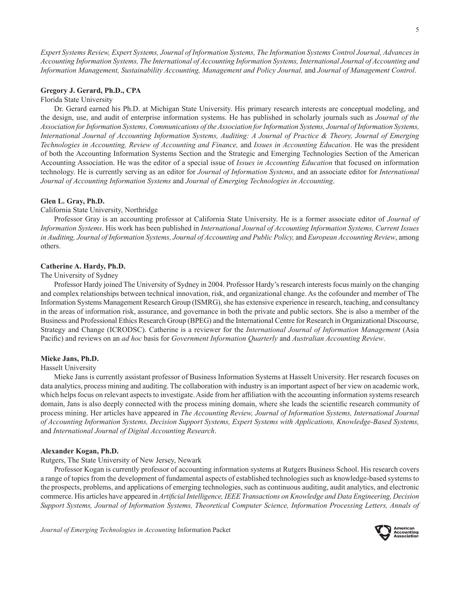*Expert Systems Review, Expert Systems, Journal of Information Systems, The Information Systems Control Journal, Advances in Accounting Information Systems, The International of Accounting Information Systems, International Journal of Accounting and Information Management, Sustainability Accounting, Management and Policy Journal,* and *Journal of Management Control*.

#### **Gregory J. Gerard, Ph.D., CPA**

Florida State University

Dr. Gerard earned his Ph.D. at Michigan State University. His primary research interests are conceptual modeling, and the design, use, and audit of enterprise information systems. He has published in scholarly journals such as *Journal of the Association for Information Systems, Communications of the Association for Information Systems, Journal of Information Systems, International Journal of Accounting Information Systems, Auditing: A Journal of Practice & Theory, Journal of Emerging Technologies in Accounting, Review of Accounting and Finance,* and *Issues in Accounting Education*. He was the president of both the Accounting Information Systems Section and the Strategic and Emerging Technologies Section of the American Accounting Association. He was the editor of a special issue of *Issues in Accounting Education* that focused on information technology. He is currently serving as an editor for *Journal of Information Systems*, and an associate editor for *International Journal of Accounting Information Systems* and *Journal of Emerging Technologies in Accounting*.

#### **Glen L. Gray, Ph.D.**

California State University, Northridge

Professor Gray is an accounting professor at California State University. He is a former associate editor of *Journal of Information Systems*. His work has been published in *International Journal of Accounting Information Systems, Current Issues in Auditing, Journal of Information Systems, Journal of Accounting and Public Policy, and European Accounting Review, among* others.

#### **Catherine A. Hardy, Ph.D.**

The University of Sydney

Professor Hardy joined The University of Sydney in 2004. Professor Hardy's research interests focus mainly on the changing and complex relationships between technical innovation, risk, and organizational change. As the cofounder and member of The Information Systems Management Research Group (ISMRG), she has extensive experience in research, teaching, and consultancy in the areas of information risk, assurance, and governance in both the private and public sectors. She is also a member of the Business and Professional Ethics Research Group (BPEG) and the International Centre for Research in Organizational Discourse, Strategy and Change (ICRODSC). Catherine is a reviewer for the *International Journal of Information Management* (Asia Pacific) and reviews on an *ad hoc* basis for *Government Information Quarterly* and *Australian Accounting Review*.

#### **Mieke Jans, Ph.D.**

Hasselt University

Mieke Jans is currently assistant professor of Business Information Systems at Hasselt University. Her research focuses on data analytics, process mining and auditing. The collaboration with industry is an important aspect of her view on academic work, which helps focus on relevant aspects to investigate. Aside from her affiliation with the accounting information systems research domain, Jans is also deeply connected with the process mining domain, where she leads the scientific research community of process mining. Her articles have appeared in *The Accounting Review, Journal of Information Systems, International Journal of Accounting Information Systems, Decision Support Systems, Expert Systems with Applications, Knowledge-Based Systems,*  and *International Journal of Digital Accounting Research*.

#### **Alexander Kogan, Ph.D.**

Rutgers, The State University of New Jersey, Newark

Professor Kogan is currently professor of accounting information systems at Rutgers Business School. His research covers a range of topics from the development of fundamental aspects of established technologies such as knowledge-based systems to the prospects, problems, and applications of emerging technologies, such as continuous auditing, audit analytics, and electronic commerce. His articles have appeared in *Artificial Intelligence, IEEE Transactions on Knowledge and Data Engineering, Decision Support Systems, Journal of Information Systems, Theoretical Computer Science, Information Processing Letters, Annals of* 

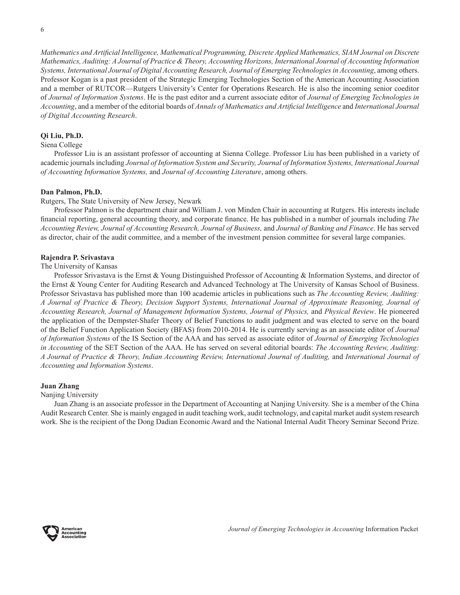*Mathematics and Artificial Intelligence, Mathematical Programming, Discrete Applied Mathematics, SIAM Journal on Discrete Mathematics, Auditing: A Journal of Practice & Theory, Accounting Horizons, International Journal of Accounting Information Systems, International Journal of Digital Accounting Research, Journal of Emerging Technologies in Accounting*, among others. Professor Kogan is a past president of the Strategic Emerging Technologies Section of the American Accounting Association and a member of RUTCOR—Rutgers University's Center for Operations Research. He is also the incoming senior coeditor of *Journal of Information Systems*. He is the past editor and a current associate editor of *Journal of Emerging Technologies in Accounting*, and a member of the editorial boards of *Annals of Mathematics and Artificial Intelligence* and *International Journal of Digital Accounting Research*.

#### **Qi Liu, Ph.D.**

#### Siena College

Professor Liu is an assistant professor of accounting at Sienna College. Professor Liu has been published in a variety of academic journals including *Journal of Information System and Security, Journal of Information Systems, International Journal of Accounting Information Systems,* and *Journal of Accounting Literature*, among others.

## **Dan Palmon, Ph.D.**

Rutgers, The State University of New Jersey, Newark

Professor Palmon is the department chair and William J. von Minden Chair in accounting at Rutgers. His interests include financial reporting, general accounting theory, and corporate finance. He has published in a number of journals including *The Accounting Review, Journal of Accounting Research, Journal of Business,* and *Journal of Banking and Finance*. He has served as director, chair of the audit committee, and a member of the investment pension committee for several large companies.

#### **Rajendra P. Srivastava**

The University of Kansas

Professor Srivastava is the Ernst & Young Distinguished Professor of Accounting & Information Systems, and director of the Ernst & Young Center for Auditing Research and Advanced Technology at The University of Kansas School of Business. Professor Srivastava has published more than 100 academic articles in publications such as *The Accounting Review, Auditing: A Journal of Practice & Theory, Decision Support Systems, International Journal of Approximate Reasoning, Journal of Accounting Research, Journal of Management Information Systems, Journal of Physics,* and *Physical Review*. He pioneered the application of the Dempster-Shafer Theory of Belief Functions to audit judgment and was elected to serve on the board of the Belief Function Application Society (BFAS) from 2010-2014. He is currently serving as an associate editor of *Journal of Information Systems* of the IS Section of the AAA and has served as associate editor of *Journal of Emerging Technologies in Accounting* of the SET Section of the AAA. He has served on several editorial boards: *The Accounting Review, Auditing: A Journal of Practice & Theory, Indian Accounting Review, International Journal of Auditing,* and *International Journal of Accounting and Information Systems*.

#### **Juan Zhang**

#### Nanjing University

Juan Zhang is an associate professor in the Department of Accounting at Nanjing University. She is a member of the China Audit Research Center. She is mainly engaged in audit teaching work, audit technology, and capital market audit system research work. She is the recipient of the Dong Dadian Economic Award and the National Internal Audit Theory Seminar Second Prize.

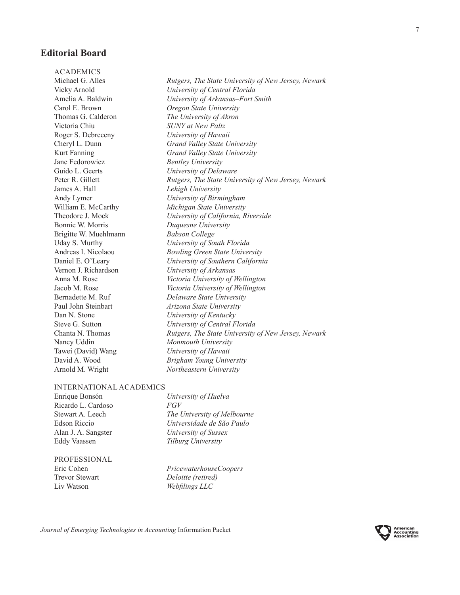# **Editorial Board**

ACADEMICS Michael G. Alles *Rutgers, The State University of New Jersey, Newark* Vicky Arnold *University of Central Florida* Amelia A. Baldwin *University of Arkansas–Fort Smith* Carol E. Brown *Oregon State University* Thomas G. Calderon *The University of Akron* Victoria Chiu *SUNY at New Paltz* Roger S. Debreceny *University of Hawaii* Cheryl L. Dunn *Grand Valley State University* Kurt Fanning *Grand Valley State University* Jane Fedorowicz *Bentley University* Guido L. Geerts *University of Delaware* Peter R. Gillett *Rutgers, The State University of New Jersey, Newark* James A. Hall *Lehigh University* Andy Lymer *University of Birmingham* William E. McCarthy *Michigan State University* Theodore J. Mock *University of California, Riverside* Bonnie W. Morris *Duquesne University* Brigitte W. Muehlmann *Babson College* Uday S. Murthy *University of South Florida* Andreas I. Nicolaou *Bowling Green State University* Daniel E. O'Leary *University of Southern California* Vernon J. Richardson *University of Arkansas* Anna M. Rose *Victoria University of Wellington* Jacob M. Rose *Victoria University of Wellington* Bernadette M. Ruf *Delaware State University* Paul John Steinbart *Arizona State University* Dan N. Stone *University of Kentucky* Steve G. Sutton *University of Central Florida* Chanta N. Thomas *Rutgers, The State University of New Jersey, Newark* Nancy Uddin *Monmouth University* Tawei (David) Wang *University of Hawaii* David A. Wood *Brigham Young University* Arnold M. Wright *Northeastern University*

#### INTERNATIONAL ACADEMICS

Enrique Bonsón *University of Huelva* Ricardo L. Cardoso *FGV* Eddy Vaassen *Tilburg University*

Stewart A. Leech *The University of Melbourne* Edson Riccio *Universidade de São Paulo* Alan J. A. Sangster *University of Sussex*

## PROFESSIONAL

Eric Cohen *PricewaterhouseCoopers* Trevor Stewart *Deloitte (retired)* Liv Watson *Webfilings LLC*

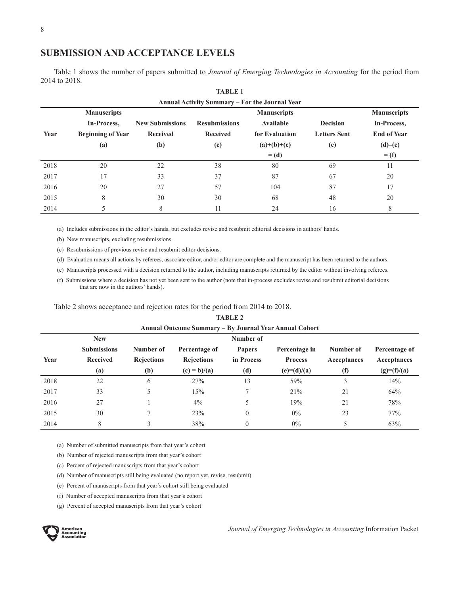# **SUBMISSION AND ACCEPTANCE LEVELS**

Table 1 shows the number of papers submitted to *Journal of Emerging Technologies in Accounting* for the period from 2014 to 2018.

|      |                          |                        |                      | Annual Activity Summary - For the Journal Year |                     |                    |
|------|--------------------------|------------------------|----------------------|------------------------------------------------|---------------------|--------------------|
|      | <b>Manuscripts</b>       |                        |                      | <b>Manuscripts</b>                             |                     | <b>Manuscripts</b> |
|      | In-Process,              | <b>New Submissions</b> | <b>Resubmissions</b> | Available                                      | <b>Decision</b>     | In-Process,        |
| Year | <b>Beginning of Year</b> | <b>Received</b>        | <b>Received</b>      | for Evaluation                                 | <b>Letters Sent</b> | <b>End of Year</b> |
|      | (a)                      | (b)                    | (c)                  | $(a)+(b)+(c)$                                  | (e)                 | (d)–(e)            |
|      |                          |                        |                      | $=$ (d)                                        |                     | $=$ (f)            |
| 2018 | 20                       | 22                     | 38                   | 80                                             | 69                  | 11                 |
| 2017 | 17                       | 33                     | 37                   | 87                                             | 67                  | 20                 |
| 2016 | 20                       | 27                     | 57                   | 104                                            | 87                  | 17                 |
| 2015 | 8                        | 30                     | 30                   | 68                                             | 48                  | 20                 |
| 2014 |                          | 8                      | 11                   | 24                                             | 16                  | 8                  |

|                                        | <b>TABLE 1</b> |  |  |  |  |
|----------------------------------------|----------------|--|--|--|--|
| uual Activity Summary – For the Journa |                |  |  |  |  |

(a) Includes submissions in the editor's hands, but excludes revise and resubmit editorial decisions in authors' hands.

(b) New manuscripts, excluding resubmissions.

(c) Resubmissions of previous revise and resubmit editor decisions.

(d) Evaluation means all actions by referees, associate editor, and/or editor are complete and the manuscript has been returned to the authors.

(e) Manuscripts processed with a decision returned to the author, including manuscripts returned by the editor without involving referees.

(f) Submissions where a decision has not yet been sent to the author (note that in-process excludes revise and resubmit editorial decisions that are now in the authors' hands).

Table 2 shows acceptance and rejection rates for the period from 2014 to 2018.

| <b>TABLE 2</b><br>Annual Outcome Summary – By Journal Year Annual Cohort |                    |                   |                   |                |                |             |               |
|--------------------------------------------------------------------------|--------------------|-------------------|-------------------|----------------|----------------|-------------|---------------|
|                                                                          |                    |                   |                   |                |                |             | <b>New</b>    |
|                                                                          | <b>Submissions</b> | Number of         | Percentage of     | <b>Papers</b>  | Percentage in  | Number of   | Percentage of |
| Year                                                                     | <b>Received</b>    | <b>Rejections</b> | <b>Rejections</b> | in Process     | <b>Process</b> | Acceptances | Acceptances   |
|                                                                          | (a)                | (b)               | $(c) = b)/(a)$    | (d)            | $(e)=(d)/(a)$  | (f)         | $(g)=(f)/(a)$ |
| 2018                                                                     | 22                 | 6                 | 27%               | 13             | 59%            | 3           | 14%           |
| 2017                                                                     | 33                 | 5                 | 15%               | $\tau$         | 21%            | 21          | 64%           |
| 2016                                                                     | 27                 |                   | $4\%$             | 5              | 19%            | 21          | 78%           |
| 2015                                                                     | 30                 |                   | 23%               | $\theta$       | $0\%$          | 23          | 77%           |
| 2014                                                                     | 8                  |                   | 38%               | $\overline{0}$ | $0\%$          | 5           | 63%           |

(a) Number of submitted manuscripts from that year's cohort

(b) Number of rejected manuscripts from that year's cohort

- (c) Percent of rejected manuscripts from that year's cohort
- (d) Number of manuscripts still being evaluated (no report yet, revise, resubmit)

(e) Percent of manuscripts from that year's cohort still being evaluated

(f) Number of accepted manuscripts from that year's cohort

(g) Percent of accepted manuscripts from that year's cohort

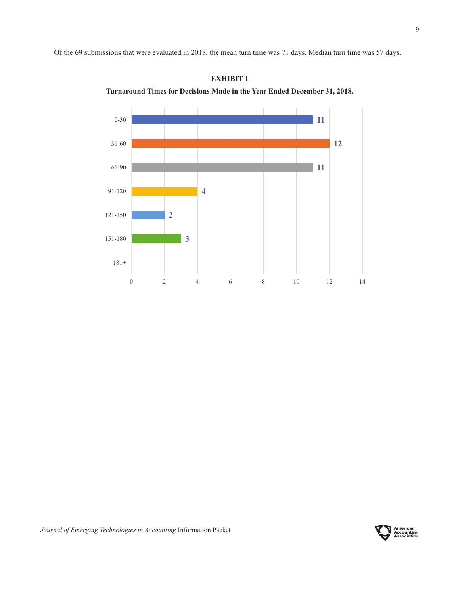Of the 69 submissions that were evaluated in 2018, the mean turn time was 71 days. Median turn time was 57 days.



**EXHIBIT 1 Turnaround Times for Decisions Made in the Year Ended December 31, 2018.**

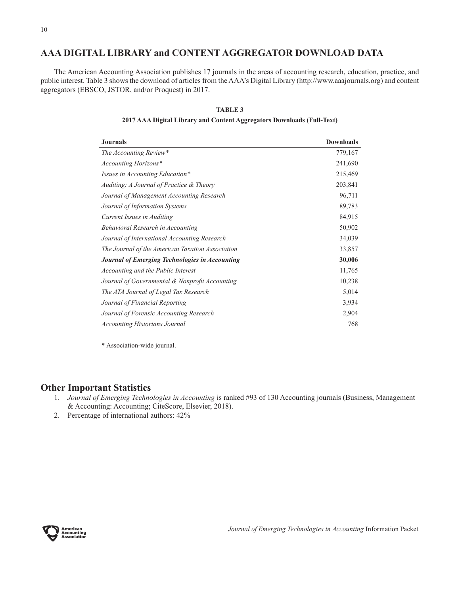# **AAA DIGITAL LIBRARY and CONTENT AGGREGATOR DOWNLOAD DATA**

The American Accounting Association publishes 17 journals in the areas of accounting research, education, practice, and public interest. Table 3 shows the download of articles from the AAA's Digital Library (http://www.aaajournals.org) and content aggregators (EBSCO, JSTOR, and/or Proquest) in 2017.

#### **TABLE 3**

| 2017 AAA Digital Library and Content Aggregators Downloads (Full-Text) |  |
|------------------------------------------------------------------------|--|
|                                                                        |  |
|                                                                        |  |

| <b>Journals</b>                                  | <b>Downloads</b> |
|--------------------------------------------------|------------------|
| The Accounting Review*                           | 779,167          |
| Accounting Horizons*                             | 241,690          |
| <i>Issues in Accounting Education*</i>           | 215,469          |
| Auditing: A Journal of Practice & Theory         | 203,841          |
| Journal of Management Accounting Research        | 96,711           |
| Journal of Information Systems                   | 89,783           |
| Current Issues in Auditing                       | 84,915           |
| Behavioral Research in Accounting                | 50,902           |
| Journal of International Accounting Research     | 34,039           |
| The Journal of the American Taxation Association | 33,857           |
| Journal of Emerging Technologies in Accounting   | 30,006           |
| Accounting and the Public Interest               | 11,765           |
| Journal of Governmental & Nonprofit Accounting   | 10,238           |
| The ATA Journal of Legal Tax Research            | 5,014            |
| Journal of Financial Reporting                   | 3,934            |
| Journal of Forensic Accounting Research          | 2,904            |
| <b>Accounting Historians Journal</b>             | 768              |

\* Association-wide journal.

## **Other Important Statistics**

- 1. *Journal of Emerging Technologies in Accounting* is ranked #93 of 130 Accounting journals (Business, Management & Accounting: Accounting; CiteScore, Elsevier, 2018).
- 2. Percentage of international authors: 42%

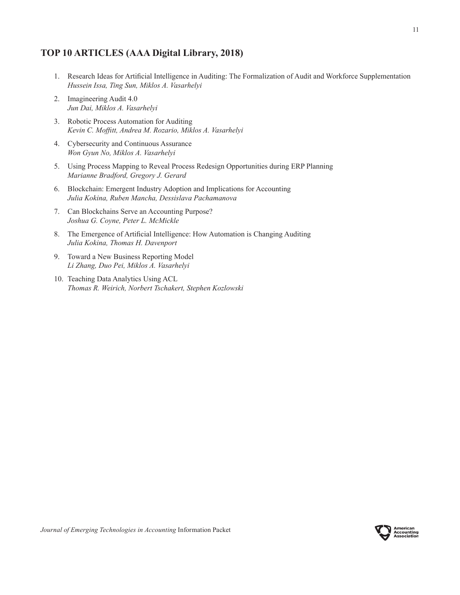# **TOP 10 ARTICLES (AAA Digital Library, 2018)**

- 1. Research Ideas for Artificial Intelligence in Auditing: The Formalization of Audit and Workforce Supplementation *Hussein Issa, Ting Sun, Miklos A. Vasarhelyi*
- 2. Imagineering Audit 4.0 *Jun Dai, Miklos A. Vasarhelyi*
- 3. Robotic Process Automation for Auditing *Kevin C. Moffitt, Andrea M. Rozario, Miklos A. Vasarhelyi*
- 4. Cybersecurity and Continuous Assurance *Won Gyun No, Miklos A. Vasarhelyi*
- 5. Using Process Mapping to Reveal Process Redesign Opportunities during ERP Planning *Marianne Bradford, Gregory J. Gerard*
- 6. Blockchain: Emergent Industry Adoption and Implications for Accounting *Julia Kokina, Ruben Mancha, Dessislava Pachamanova*
- 7. Can Blockchains Serve an Accounting Purpose? *Joshua G. Coyne, Peter L. McMickle*
- 8. The Emergence of Artificial Intelligence: How Automation is Changing Auditing *Julia Kokina, Thomas H. Davenport*
- 9. Toward a New Business Reporting Model *Li Zhang, Duo Pei, Miklos A. Vasarhelyi*
- 10. Teaching Data Analytics Using ACL *Thomas R. Weirich, Norbert Tschakert, Stephen Kozlowski*

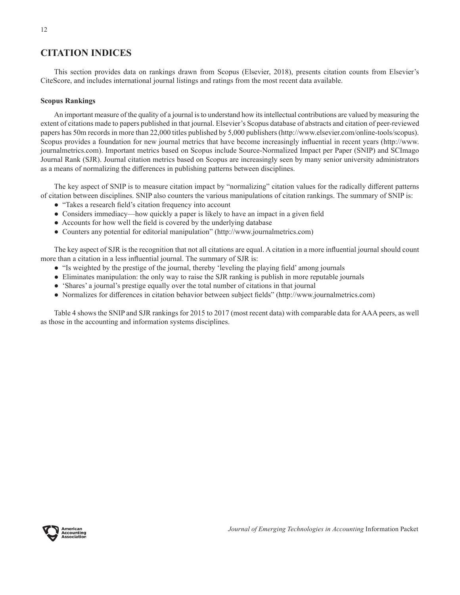# **CITATION INDICES**

This section provides data on rankings drawn from Scopus (Elsevier, 2018), presents citation counts from Elsevier's CiteScore, and includes international journal listings and ratings from the most recent data available.

## **Scopus Rankings**

An important measure of the quality of a journal is to understand how its intellectual contributions are valued by measuring the extent of citations made to papers published in that journal. Elsevier's Scopus database of abstracts and citation of peer-reviewed papers has 50m records in more than 22,000 titles published by 5,000 publishers (http://www.elsevier.com/online-tools/scopus). Scopus provides a foundation for new journal metrics that have become increasingly influential in recent years (http://www. journalmetrics.com). Important metrics based on Scopus include Source-Normalized Impact per Paper (SNIP) and SCImago Journal Rank (SJR). Journal citation metrics based on Scopus are increasingly seen by many senior university administrators as a means of normalizing the differences in publishing patterns between disciplines.

The key aspect of SNIP is to measure citation impact by "normalizing" citation values for the radically different patterns of citation between disciplines. SNIP also counters the various manipulations of citation rankings. The summary of SNIP is:

- "Takes a research field's citation frequency into account
- Considers immediacy—how quickly a paper is likely to have an impact in a given field
- Accounts for how well the field is covered by the underlying database
- Counters any potential for editorial manipulation" (http://www.journalmetrics.com)

The key aspect of SJR is the recognition that not all citations are equal. A citation in a more influential journal should count more than a citation in a less influential journal. The summary of SJR is:

- "Is weighted by the prestige of the journal, thereby 'leveling the playing field' among journals
- Eliminates manipulation: the only way to raise the SJR ranking is publish in more reputable journals
- 'Shares' a journal's prestige equally over the total number of citations in that journal
- Normalizes for differences in citation behavior between subject fields" (http://www.journalmetrics.com)

Table 4 shows the SNIP and SJR rankings for 2015 to 2017 (most recent data) with comparable data for AAA peers, as well as those in the accounting and information systems disciplines.

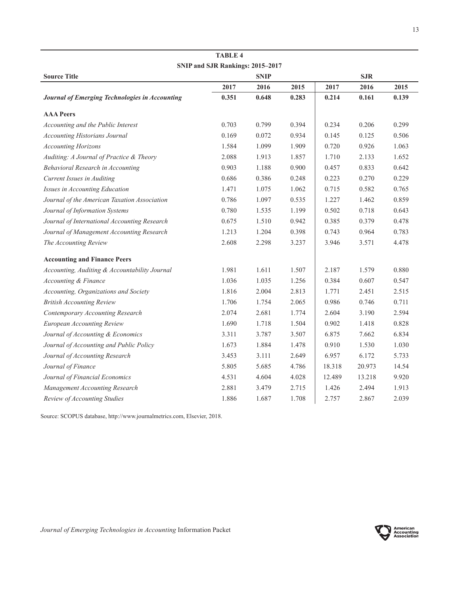| SNIP and SJR Rankings: 2015-2017               |       |             |       |        |            |       |
|------------------------------------------------|-------|-------------|-------|--------|------------|-------|
| <b>Source Title</b>                            |       | <b>SNIP</b> |       |        | <b>SJR</b> |       |
|                                                | 2017  | 2016        | 2015  | 2017   | 2016       | 2015  |
| Journal of Emerging Technologies in Accounting | 0.351 | 0.648       | 0.283 | 0.214  | 0.161      | 0.139 |
| <b>AAA</b> Peers                               |       |             |       |        |            |       |
| Accounting and the Public Interest             | 0.703 | 0.799       | 0.394 | 0.234  | 0.206      | 0.299 |
| <b>Accounting Historians Journal</b>           | 0.169 | 0.072       | 0.934 | 0.145  | 0.125      | 0.506 |
| <b>Accounting Horizons</b>                     | 1.584 | 1.099       | 1.909 | 0.720  | 0.926      | 1.063 |
| Auditing: A Journal of Practice & Theory       | 2.088 | 1.913       | 1.857 | 1.710  | 2.133      | 1.652 |
| Behavioral Research in Accounting              | 0.903 | 1.188       | 0.900 | 0.457  | 0.833      | 0.642 |
| Current Issues in Auditing                     | 0.686 | 0.386       | 0.248 | 0.223  | 0.270      | 0.229 |
| Issues in Accounting Education                 | 1.471 | 1.075       | 1.062 | 0.715  | 0.582      | 0.765 |
| Journal of the American Taxation Association   | 0.786 | 1.097       | 0.535 | 1.227  | 1.462      | 0.859 |
| Journal of Information Systems                 | 0.780 | 1.535       | 1.199 | 0.502  | 0.718      | 0.643 |
| Journal of International Accounting Research   | 0.675 | 1.510       | 0.942 | 0.385  | 0.379      | 0.478 |
| Journal of Management Accounting Research      | 1.213 | 1.204       | 0.398 | 0.743  | 0.964      | 0.783 |
| The Accounting Review                          | 2.608 | 2.298       | 3.237 | 3.946  | 3.571      | 4.478 |
| <b>Accounting and Finance Peers</b>            |       |             |       |        |            |       |
| Accounting, Auditing & Accountability Journal  | 1.981 | 1.611       | 1.507 | 2.187  | 1.579      | 0.880 |
| <b>Accounting &amp; Finance</b>                | 1.036 | 1.035       | 1.256 | 0.384  | 0.607      | 0.547 |
| Accounting, Organizations and Society          | 1.816 | 2.004       | 2.813 | 1.771  | 2.451      | 2.515 |
| <b>British Accounting Review</b>               | 1.706 | 1.754       | 2.065 | 0.986  | 0.746      | 0.711 |
| Contemporary Accounting Research               | 2.074 | 2.681       | 1.774 | 2.604  | 3.190      | 2.594 |
| European Accounting Review                     | 1.690 | 1.718       | 1.504 | 0.902  | 1.418      | 0.828 |
| Journal of Accounting & Economics              | 3.311 | 3.787       | 3.507 | 6.875  | 7.662      | 6.834 |
| Journal of Accounting and Public Policy        | 1.673 | 1.884       | 1.478 | 0.910  | 1.530      | 1.030 |
| Journal of Accounting Research                 | 3.453 | 3.111       | 2.649 | 6.957  | 6.172      | 5.733 |
| Journal of Finance                             | 5.805 | 5.685       | 4.786 | 18.318 | 20.973     | 14.54 |
| Journal of Financial Economics                 | 4.531 | 4.604       | 4.028 | 12.489 | 13.218     | 9.920 |
| Management Accounting Research                 | 2.881 | 3.479       | 2.715 | 1.426  | 2.494      | 1.913 |
| Review of Accounting Studies                   | 1.886 | 1.687       | 1.708 | 2.757  | 2.867      | 2.039 |

**TABLE 4**

Source: SCOPUS database, http://www.journalmetrics.com, Elsevier, 2018.

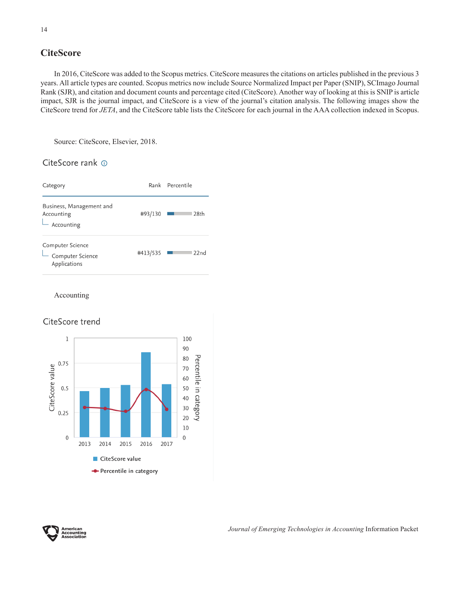# **CiteScore**

In 2016, CiteScore was added to the Scopus metrics. CiteScore measures the citations on articles published in the previous 3 years. All article types are counted. Scopus metrics now include Source Normalized Impact per Paper (SNIP), SCImago Journal Rank (SJR), and citation and document counts and percentage cited (CiteScore). Another way of looking at this is SNIP is article impact, SJR is the journal impact, and CiteScore is a view of the journal's citation analysis. The following images show the CiteScore trend for *JETA*, and the CiteScore table lists the CiteScore for each journal in the AAA collection indexed in Scopus.

Source: CiteScore, Elsevier, 2018.

## CiteScore rank @



Accounting